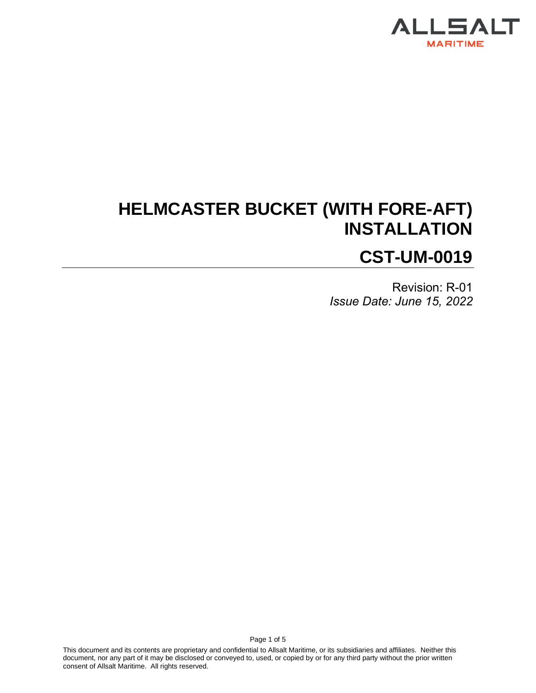

# **HELMCASTER BUCKET (WITH FORE-AFT) INSTALLATION CST-UM-0019**

Revision: R-01 *Issue Date: June 15, 2022*

This document and its contents are proprietary and confidential to Allsalt Maritime, or its subsidiaries and affiliates. Neither this document, nor any part of it may be disclosed or conveyed to, used, or copied by or for any third party without the prior written consent of Allsalt Maritime. All rights reserved.

Page 1 of 5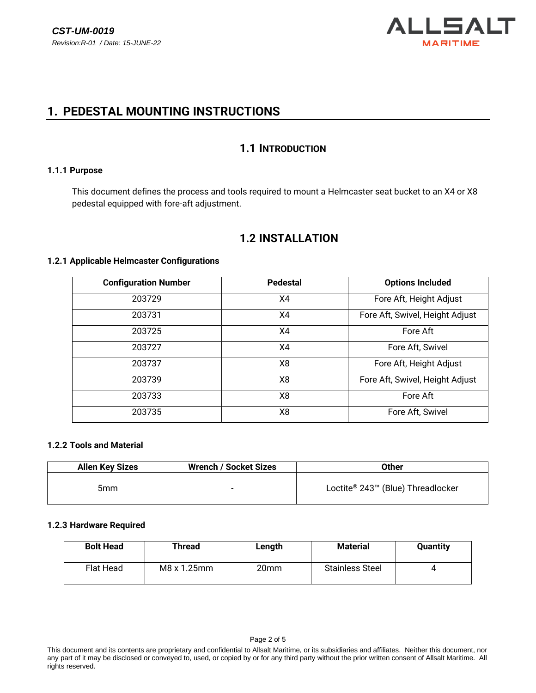

## **1. PEDESTAL MOUNTING INSTRUCTIONS**

### **1.1 INTRODUCTION**

#### **1.1.1 Purpose**

This document defines the process and tools required to mount a Helmcaster seat bucket to an X4 or X8 pedestal equipped with fore-aft adjustment.

## **1.2 INSTALLATION**

#### **1.2.1 Applicable Helmcaster Configurations**

| <b>Configuration Number</b> | <b>Pedestal</b> | <b>Options Included</b>         |  |
|-----------------------------|-----------------|---------------------------------|--|
| 203729                      | X4              | Fore Aft, Height Adjust         |  |
| 203731                      | X4              | Fore Aft, Swivel, Height Adjust |  |
| 203725                      | X4              | Fore Aft                        |  |
| 203727                      | X4              | Fore Aft, Swivel                |  |
| 203737                      | X8              | Fore Aft, Height Adjust         |  |
| 203739                      | X <sub>8</sub>  | Fore Aft, Swivel, Height Adjust |  |
| 203733                      | X8              | Fore Aft                        |  |
| 203735                      | X8              | Fore Aft, Swivel                |  |

#### **1.2.2 Tools and Material**

| <b>Allen Key Sizes</b> | <b>Wrench / Socket Sizes</b> | Other                             |
|------------------------|------------------------------|-----------------------------------|
| 5mm                    | $\overline{\phantom{0}}$     | Loctite® 243™ (Blue) Threadlocker |

#### **1.2.3 Hardware Required**

| <b>Bolt Head</b> | Thread      | Length | <b>Material</b>        | <b>Quantity</b> |
|------------------|-------------|--------|------------------------|-----------------|
| Flat Head        | M8 x 1.25mm | 20mm   | <b>Stainless Steel</b> |                 |

This document and its contents are proprietary and confidential to Allsalt Maritime, or its subsidiaries and affiliates. Neither this document, nor any part of it may be disclosed or conveyed to, used, or copied by or for any third party without the prior written consent of Allsalt Maritime. All rights reserved.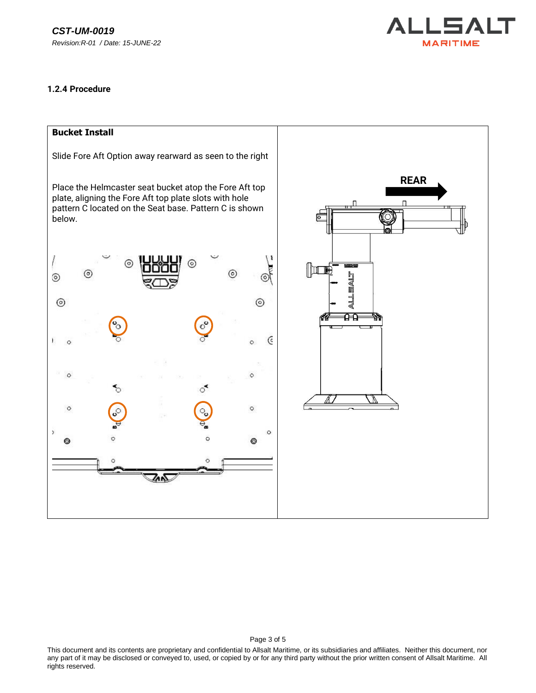

#### **1.2.4 Procedure**



This document and its contents are proprietary and confidential to Allsalt Maritime, or its subsidiaries and affiliates. Neither this document, nor any part of it may be disclosed or conveyed to, used, or copied by or for any third party without the prior written consent of Allsalt Maritime. All rights reserved.

Page 3 of 5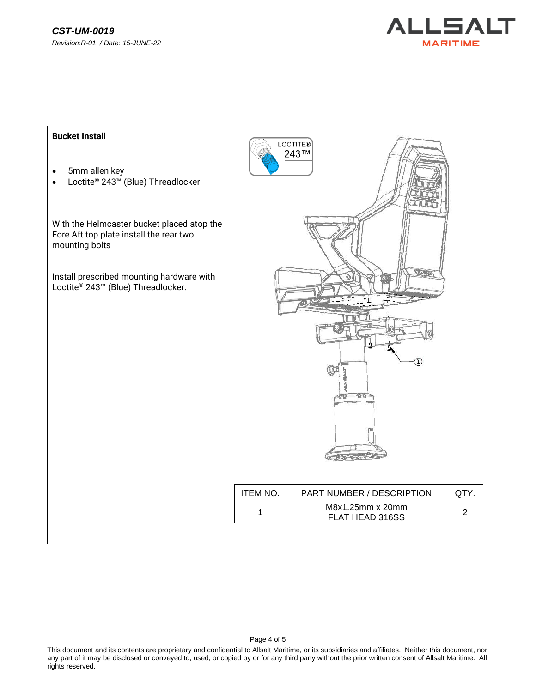



This document and its contents are proprietary and confidential to Allsalt Maritime, or its subsidiaries and affiliates. Neither this document, nor any part of it may be disclosed or conveyed to, used, or copied by or for any third party without the prior written consent of Allsalt Maritime. All rights reserved.